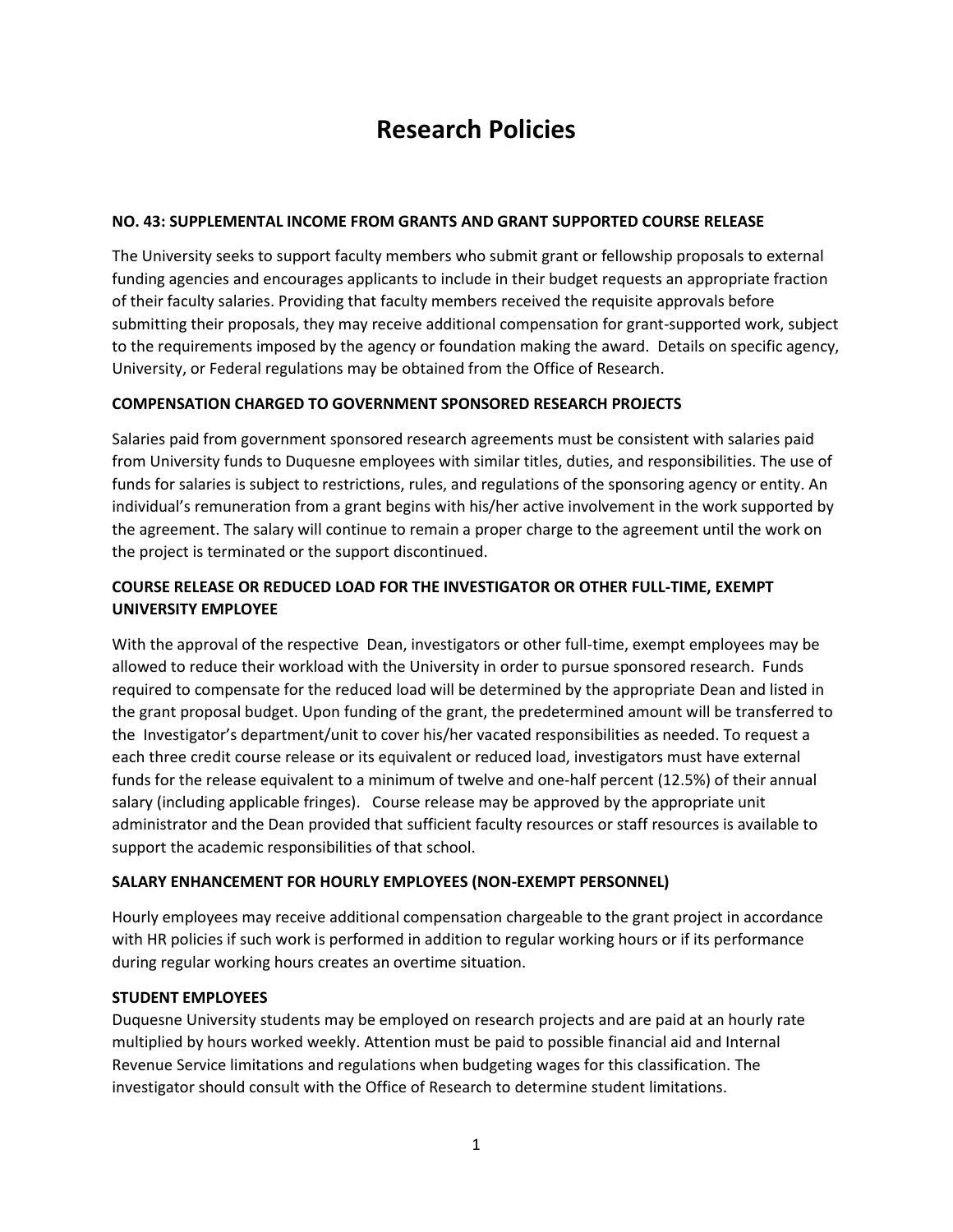# **Research Policies**

### **NO. 43: SUPPLEMENTAL INCOME FROM GRANTS AND GRANT SUPPORTED COURSE RELEASE**

The University seeks to support faculty members who submit grant or fellowship proposals to external funding agencies and encourages applicants to include in their budget requests an appropriate fraction of their faculty salaries. Providing that faculty members received the requisite approvals before submitting their proposals, they may receive additional compensation for grant-supported work, subject to the requirements imposed by the agency or foundation making the award. Details on specific agency, University, or Federal regulations may be obtained from the Office of Research.

## **COMPENSATION CHARGED TO GOVERNMENT SPONSORED RESEARCH PROJECTS**

Salaries paid from government sponsored research agreements must be consistent with salaries paid from University funds to Duquesne employees with similar titles, duties, and responsibilities. The use of funds for salaries is subject to restrictions, rules, and regulations of the sponsoring agency or entity. An individual's remuneration from a grant begins with his/her active involvement in the work supported by the agreement. The salary will continue to remain a proper charge to the agreement until the work on the project is terminated or the support discontinued.

# **COURSE RELEASE OR REDUCED LOAD FOR THE INVESTIGATOR OR OTHER FULL-TIME, EXEMPT UNIVERSITY EMPLOYEE**

With the approval of the respective Dean, investigators or other full-time, exempt employees may be allowed to reduce their workload with the University in order to pursue sponsored research. Funds required to compensate for the reduced load will be determined by the appropriate Dean and listed in the grant proposal budget. Upon funding of the grant, the predetermined amount will be transferred to the Investigator's department/unit to cover his/her vacated responsibilities as needed. To request a each three credit course release or its equivalent or reduced load, investigators must have external funds for the release equivalent to a minimum of twelve and one-half percent (12.5%) of their annual salary (including applicable fringes). Course release may be approved by the appropriate unit administrator and the Dean provided that sufficient faculty resources or staff resources is available to support the academic responsibilities of that school.

#### **SALARY ENHANCEMENT FOR HOURLY EMPLOYEES (NON-EXEMPT PERSONNEL)**

Hourly employees may receive additional compensation chargeable to the grant project in accordance with HR policies if such work is performed in addition to regular working hours or if its performance during regular working hours creates an overtime situation.

#### **STUDENT EMPLOYEES**

Duquesne University students may be employed on research projects and are paid at an hourly rate multiplied by hours worked weekly. Attention must be paid to possible financial aid and Internal Revenue Service limitations and regulations when budgeting wages for this classification. The investigator should consult with the Office of Research to determine student limitations.